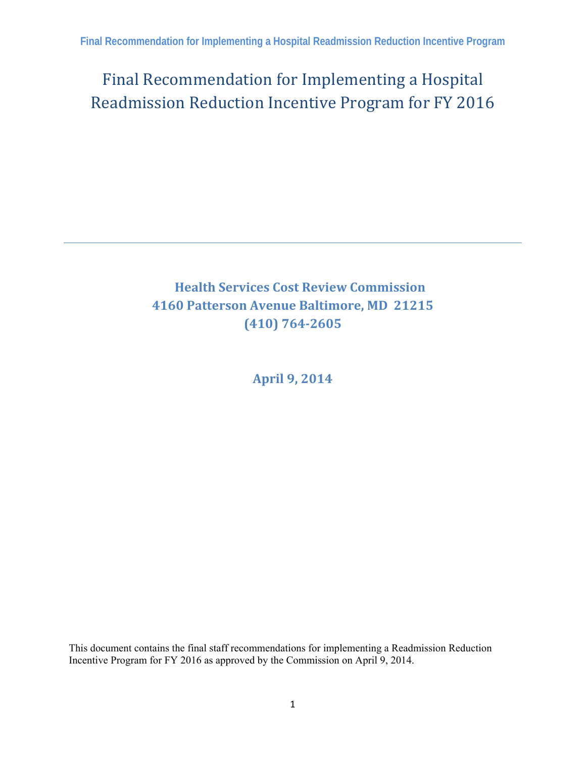Final Recommendation for Implementing a Hospital Readmission Reduction Incentive Program for FY 2016

# **Health Services Cost Review Commission 4160 Patterson Avenue Baltimore, MD 21215 (410) 7642605**

**April 9, 2014**

This document contains the final staff recommendations for implementing a Readmission Reduction Incentive Program for FY 2016 as approved by the Commission on April 9, 2014.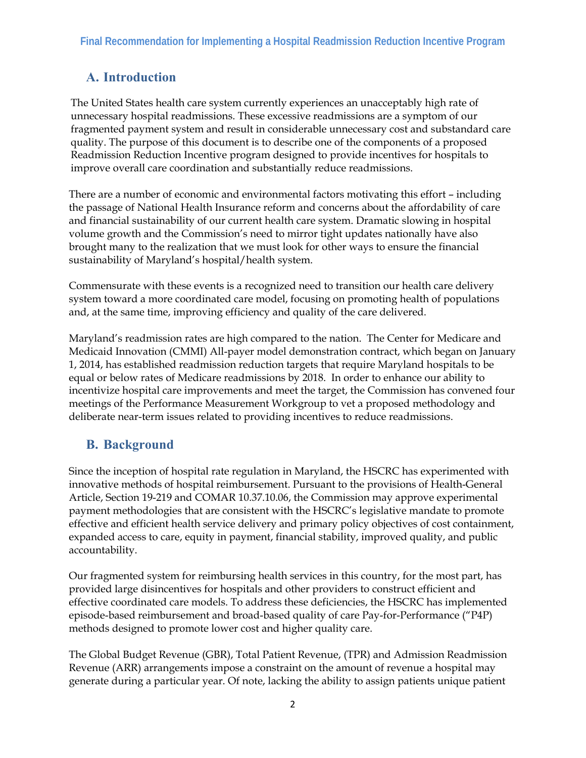# **A. Introduction**

The United States health care system currently experiences an unacceptably high rate of unnecessary hospital readmissions. These excessive readmissions are a symptom of our fragmented payment system and result in considerable unnecessary cost and substandard care quality. The purpose of this document is to describe one of the components of a proposed Readmission Reduction Incentive program designed to provide incentives for hospitals to improve overall care coordination and substantially reduce readmissions.

There are a number of economic and environmental factors motivating this effort – including the passage of National Health Insurance reform and concerns about the affordability of care and financial sustainability of our current health care system. Dramatic slowing in hospital volume growth and the Commission's need to mirror tight updates nationally have also brought many to the realization that we must look for other ways to ensure the financial sustainability of Maryland's hospital/health system.

Commensurate with these events is a recognized need to transition our health care delivery system toward a more coordinated care model, focusing on promoting health of populations and, at the same time, improving efficiency and quality of the care delivered.

Maryland's readmission rates are high compared to the nation. The Center for Medicare and Medicaid Innovation (CMMI) All-payer model demonstration contract, which began on January 1, 2014, has established readmission reduction targets that require Maryland hospitals to be equal or below rates of Medicare readmissions by 2018. In order to enhance our ability to incentivize hospital care improvements and meet the target, the Commission has convened four meetings of the Performance Measurement Workgroup to vet a proposed methodology and deliberate near-term issues related to providing incentives to reduce readmissions.

## **B. Background**

Since the inception of hospital rate regulation in Maryland, the HSCRC has experimented with innovative methods of hospital reimbursement. Pursuant to the provisions of Health-General Article, Section 19-219 and COMAR 10.37.10.06, the Commission may approve experimental payment methodologies that are consistent with the HSCRC's legislative mandate to promote effective and efficient health service delivery and primary policy objectives of cost containment, expanded access to care, equity in payment, financial stability, improved quality, and public accountability.

Our fragmented system for reimbursing health services in this country, for the most part, has provided large disincentives for hospitals and other providers to construct efficient and effective coordinated care models. To address these deficiencies, the HSCRC has implemented episode-based reimbursement and broad-based quality of care Pay-for-Performance ("P4P) methods designed to promote lower cost and higher quality care.

The Global Budget Revenue (GBR), Total Patient Revenue, (TPR) and Admission Readmission Revenue (ARR) arrangements impose a constraint on the amount of revenue a hospital may generate during a particular year. Of note, lacking the ability to assign patients unique patient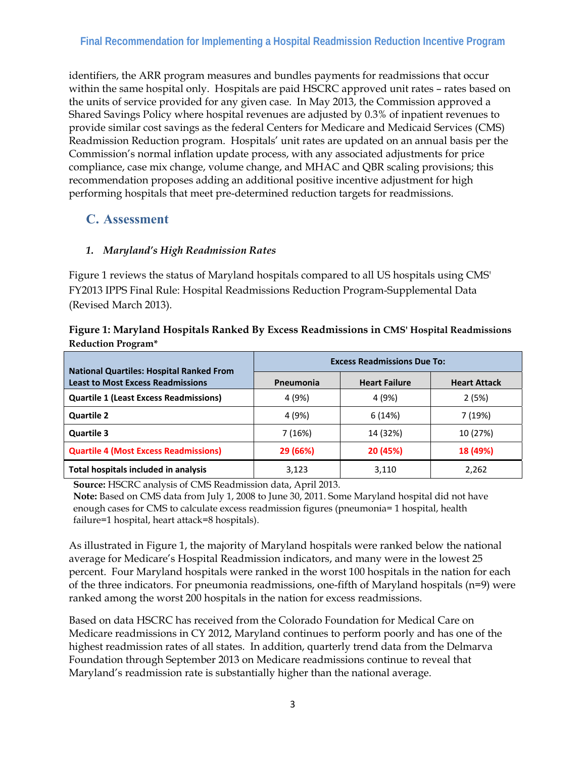#### **Final Recommendation for Implementing a Hospital Readmission Reduction Incentive Program**

identifiers, the ARR program measures and bundles payments for readmissions that occur within the same hospital only. Hospitals are paid HSCRC approved unit rates – rates based on the units of service provided for any given case. In May 2013, the Commission approved a Shared Savings Policy where hospital revenues are adjusted by 0.3% of inpatient revenues to provide similar cost savings as the federal Centers for Medicare and Medicaid Services (CMS) Readmission Reduction program. Hospitals' unit rates are updated on an annual basis per the Commission's normal inflation update process, with any associated adjustments for price compliance, case mix change, volume change, and MHAC and QBR scaling provisions; this recommendation proposes adding an additional positive incentive adjustment for high performing hospitals that meet pre-determined reduction targets for readmissions.

#### **C. Assessment**

#### *1. Maryland's High Readmission Rates*

Figure 1 reviews the status of Maryland hospitals compared to all US hospitals using CMS' FY2013 IPPS Final Rule: Hospital Readmissions Reduction Program-Supplemental Data (Revised March 2013).

| Figure 1: Maryland Hospitals Ranked By Excess Readmissions in CMS' Hospital Readmissions |  |
|------------------------------------------------------------------------------------------|--|
| <b>Reduction Program*</b>                                                                |  |

|                                                                                             | <b>Excess Readmissions Due To:</b> |                      |                     |  |  |  |
|---------------------------------------------------------------------------------------------|------------------------------------|----------------------|---------------------|--|--|--|
| <b>National Quartiles: Hospital Ranked From</b><br><b>Least to Most Excess Readmissions</b> | Pneumonia                          | <b>Heart Failure</b> | <b>Heart Attack</b> |  |  |  |
| <b>Quartile 1 (Least Excess Readmissions)</b>                                               | 4 (9%)                             | 4 (9%)               | 2(5%)               |  |  |  |
| <b>Quartile 2</b>                                                                           | 4 (9%)                             | 6(14%)               | 7 (19%)             |  |  |  |
| <b>Quartile 3</b>                                                                           | 7(16%)                             | 14 (32%)             | 10 (27%)            |  |  |  |
| <b>Quartile 4 (Most Excess Readmissions)</b>                                                | 29 (66%)                           | 20 (45%)             | 18 (49%)            |  |  |  |
| Total hospitals included in analysis                                                        | 3,123                              | 3,110                | 2,262               |  |  |  |

**Source:** HSCRC analysis of CMS Readmission data, April 2013.

**Note:** Based on CMS data from July 1, 2008 to June 30, 2011. Some Maryland hospital did not have enough cases for CMS to calculate excess readmission figures (pneumonia= 1 hospital, health failure=1 hospital, heart attack=8 hospitals).

As illustrated in Figure 1, the majority of Maryland hospitals were ranked below the national average for Medicare's Hospital Readmission indicators, and many were in the lowest 25 percent. Four Maryland hospitals were ranked in the worst 100 hospitals in the nation for each of the three indicators. For pneumonia readmissions, one-fifth of Maryland hospitals ( $n=9$ ) were ranked among the worst 200 hospitals in the nation for excess readmissions.

Based on data HSCRC has received from the Colorado Foundation for Medical Care on Medicare readmissions in CY 2012, Maryland continues to perform poorly and has one of the highest readmission rates of all states. In addition, quarterly trend data from the Delmarva Foundation through September 2013 on Medicare readmissions continue to reveal that Maryland's readmission rate is substantially higher than the national average.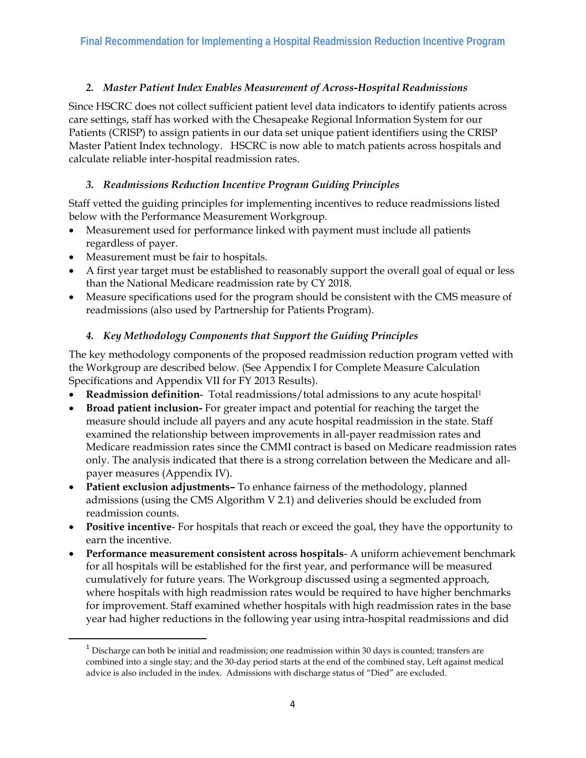#### *2. Master Patient Index Enables Measurement of Across-Hospital Readmissions*

Since HSCRC does not collect sufficient patient level data indicators to identify patients across care settings, staff has worked with the Chesapeake Regional Information System for our Patients (CRISP) to assign patients in our data set unique patient identifiers using the CRISP Master Patient Index technology. HSCRC is now able to match patients across hospitals and calculate reliable inter-hospital readmission rates.

#### *3. Readmissions Reduction Incentive Program Guiding Principles*

Staff vetted the guiding principles for implementing incentives to reduce readmissions listed below with the Performance Measurement Workgroup.

- Measurement used for performance linked with payment must include all patients regardless of payer.
- Measurement must be fair to hospitals.

- A first year target must be established to reasonably support the overall goal of equal or less than the National Medicare readmission rate by CY 2018.
- Measure specifications used for the program should be consistent with the CMS measure of readmissions (also used by Partnership for Patients Program).

#### *4. Key Methodology Components that Support the Guiding Principles*

The key methodology components of the proposed readmission reduction program vetted with the Workgroup are described below. (See Appendix I for Complete Measure Calculation Specifications and Appendix VII for FY 2013 Results).

- **Readmission definition** Total readmissions/total admissions to any acute hospital1
- **Broad patient inclusion-** For greater impact and potential for reaching the target the measure should include all payers and any acute hospital readmission in the state. Staff examined the relationship between improvements in all-payer readmission rates and Medicare readmission rates since the CMMI contract is based on Medicare readmission rates only. The analysis indicated that there is a strong correlation between the Medicare and allpayer measures (Appendix IV).
- **Patient exclusion adjustments–** To enhance fairness of the methodology, planned admissions (using the CMS Algorithm V 2.1) and deliveries should be excluded from readmission counts.
- **Positive incentive** For hospitals that reach or exceed the goal, they have the opportunity to earn the incentive.
- **Performance measurement consistent across hospitals** A uniform achievement benchmark for all hospitals will be established for the first year, and performance will be measured cumulatively for future years. The Workgroup discussed using a segmented approach, where hospitals with high readmission rates would be required to have higher benchmarks for improvement. Staff examined whether hospitals with high readmission rates in the base year had higher reductions in the following year using intra-hospital readmissions and did

 $1$  Discharge can both be initial and readmission; one readmission within 30 days is counted; transfers are combined into a single stay; and the 30-day period starts at the end of the combined stay, Left against medical advice is also included in the index. Admissions with discharge status of "Died" are excluded.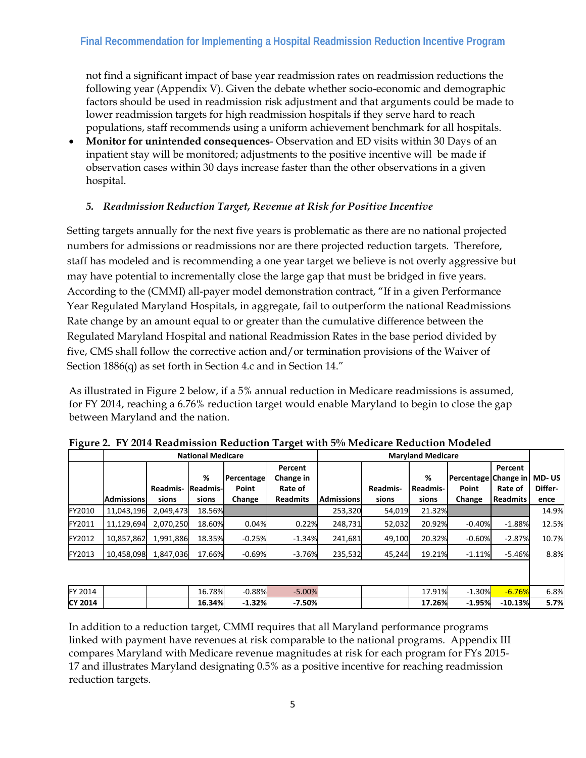not find a significant impact of base year readmission rates on readmission reductions the following year (Appendix V). Given the debate whether socio-economic and demographic factors should be used in readmission risk adjustment and that arguments could be made to lower readmission targets for high readmission hospitals if they serve hard to reach populations, staff recommends using a uniform achievement benchmark for all hospitals.

 **Monitor for unintended consequences**- Observation and ED visits within 30 Days of an inpatient stay will be monitored; adjustments to the positive incentive will be made if observation cases within 30 days increase faster than the other observations in a given hospital.

#### *5. Readmission Reduction Target, Revenue at Risk for Positive Incentive*

Setting targets annually for the next five years is problematic as there are no national projected numbers for admissions or readmissions nor are there projected reduction targets. Therefore, staff has modeled and is recommending a one year target we believe is not overly aggressive but may have potential to incrementally close the large gap that must be bridged in five years. According to the (CMMI) all-payer model demonstration contract, "If in a given Performance Year Regulated Maryland Hospitals, in aggregate, fail to outperform the national Readmissions Rate change by an amount equal to or greater than the cumulative difference between the Regulated Maryland Hospital and national Readmission Rates in the base period divided by five, CMS shall follow the corrective action and/or termination provisions of the Waiver of Section 1886(q) as set forth in Section 4.c and in Section 14."

As illustrated in Figure 2 below, if a 5% annual reduction in Medicare readmissions is assumed, for FY 2014, reaching a 6.76% reduction target would enable Maryland to begin to close the gap between Maryland and the nation.

|                | <b>National Medicare</b> |                   |                               |                               |                                                    | <b>Maryland Medicare</b> |                   |                               |                                         |                                       |                          |
|----------------|--------------------------|-------------------|-------------------------------|-------------------------------|----------------------------------------------------|--------------------------|-------------------|-------------------------------|-----------------------------------------|---------------------------------------|--------------------------|
|                | Admissionsl              | Readmis-<br>sions | %<br><b>Readmis-</b><br>sions | Percentage<br>Point<br>Change | Percent<br>Change in<br>Rate of<br><b>Readmits</b> | <b>Admissions</b>        | Readmis-<br>sions | %<br><b>Readmis-</b><br>sions | Percentage Change in<br>Point<br>Change | Percent<br>Rate of<br><b>Readmits</b> | MD-US<br>Differ-<br>ence |
| FY2010         | 11,043,196               | 2,049,473         | 18.56%                        |                               |                                                    | 253,320                  | 54,019            | 21.32%                        |                                         |                                       | 14.9%                    |
| FY2011         | 11,129,694               | 2,070,250         | 18.60%                        | 0.04%                         | 0.22%                                              | 248,731                  | 52,032            | 20.92%                        | $-0.40%$                                | $-1.88%$                              | 12.5%                    |
| <b>FY2012</b>  | 10,857,862               | 1,991,886         | 18.35%                        | $-0.25%$                      | $-1.34%$                                           | 241,681                  | 49,100            | 20.32%                        | $-0.60%$                                | $-2.87%$                              | 10.7%                    |
| <b>FY2013</b>  | 10,458,098               | 1,847,036         | 17.66%                        | $-0.69%$                      | $-3.76%$                                           | 235,532                  | 45,244            | 19.21%                        | $-1.11%$                                | $-5.46%$                              | 8.8%                     |
|                |                          |                   |                               |                               |                                                    |                          |                   |                               |                                         |                                       |                          |
| FY 2014        |                          |                   | 16.78%                        | $-0.88%$                      | $-5.00%$                                           |                          |                   | 17.91%                        | $-1.30%$                                | $-6.76%$                              | 6.8%                     |
| <b>CY 2014</b> |                          |                   | 16.34%                        | $-1.32%$                      | $-7.50%$                                           |                          |                   | 17.26%                        | $-1.95%$                                | $-10.13%$                             | 5.7%                     |

**Figure 2. FY 2014 Readmission Reduction Target with 5% Medicare Reduction Modeled** 

In addition to a reduction target, CMMI requires that all Maryland performance programs linked with payment have revenues at risk comparable to the national programs. Appendix III compares Maryland with Medicare revenue magnitudes at risk for each program for FYs 2015- 17 and illustrates Maryland designating 0.5% as a positive incentive for reaching readmission reduction targets.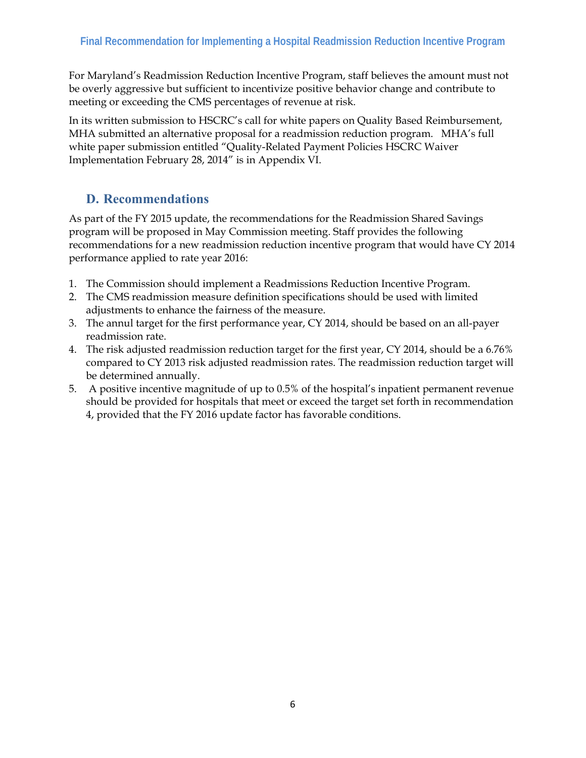For Maryland's Readmission Reduction Incentive Program, staff believes the amount must not be overly aggressive but sufficient to incentivize positive behavior change and contribute to meeting or exceeding the CMS percentages of revenue at risk.

In its written submission to HSCRC's call for white papers on Quality Based Reimbursement, MHA submitted an alternative proposal for a readmission reduction program. MHA's full white paper submission entitled "Quality-Related Payment Policies HSCRC Waiver Implementation February 28, 2014" is in Appendix VI.

### **D. Recommendations**

As part of the FY 2015 update, the recommendations for the Readmission Shared Savings program will be proposed in May Commission meeting. Staff provides the following recommendations for a new readmission reduction incentive program that would have CY 2014 performance applied to rate year 2016:

- 1. The Commission should implement a Readmissions Reduction Incentive Program.
- 2. The CMS readmission measure definition specifications should be used with limited adjustments to enhance the fairness of the measure.
- 3. The annul target for the first performance year, CY 2014, should be based on an all-payer readmission rate.
- 4. The risk adjusted readmission reduction target for the first year, CY 2014, should be a 6.76% compared to CY 2013 risk adjusted readmission rates. The readmission reduction target will be determined annually.
- 5. A positive incentive magnitude of up to 0.5% of the hospital's inpatient permanent revenue should be provided for hospitals that meet or exceed the target set forth in recommendation 4, provided that the FY 2016 update factor has favorable conditions.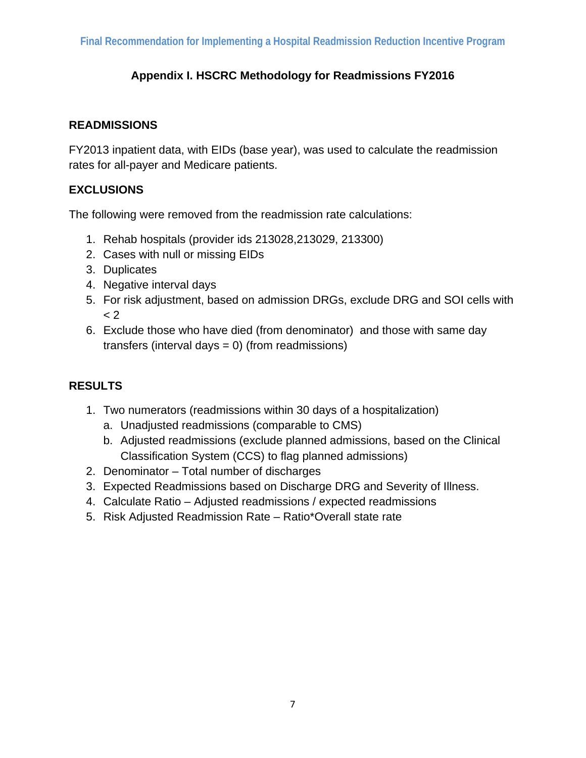### **Appendix I. HSCRC Methodology for Readmissions FY2016**

#### **READMISSIONS**

FY2013 inpatient data, with EIDs (base year), was used to calculate the readmission rates for all-payer and Medicare patients.

#### **EXCLUSIONS**

The following were removed from the readmission rate calculations:

- 1. Rehab hospitals (provider ids 213028,213029, 213300)
- 2. Cases with null or missing EIDs
- 3. Duplicates
- 4. Negative interval days
- 5. For risk adjustment, based on admission DRGs, exclude DRG and SOI cells with  $<$  2
- 6. Exclude those who have died (from denominator) and those with same day transfers (interval days = 0) (from readmissions)

#### **RESULTS**

- 1. Two numerators (readmissions within 30 days of a hospitalization)
	- a. Unadjusted readmissions (comparable to CMS)
	- b. Adjusted readmissions (exclude planned admissions, based on the Clinical Classification System (CCS) to flag planned admissions)
- 2. Denominator Total number of discharges
- 3. Expected Readmissions based on Discharge DRG and Severity of Illness.
- 4. Calculate Ratio Adjusted readmissions / expected readmissions
- 5. Risk Adjusted Readmission Rate Ratio\*Overall state rate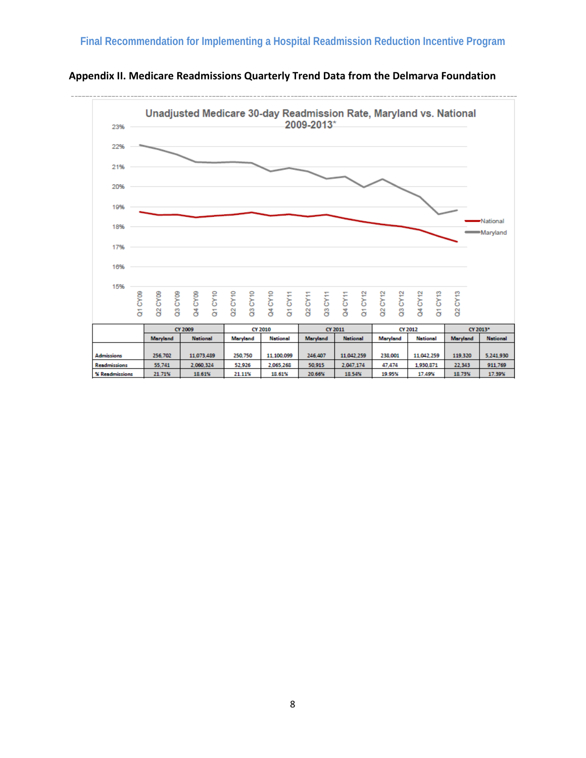

**Appendix II. Medicare Readmissions Quarterly Trend Data from the Delmarva Foundation**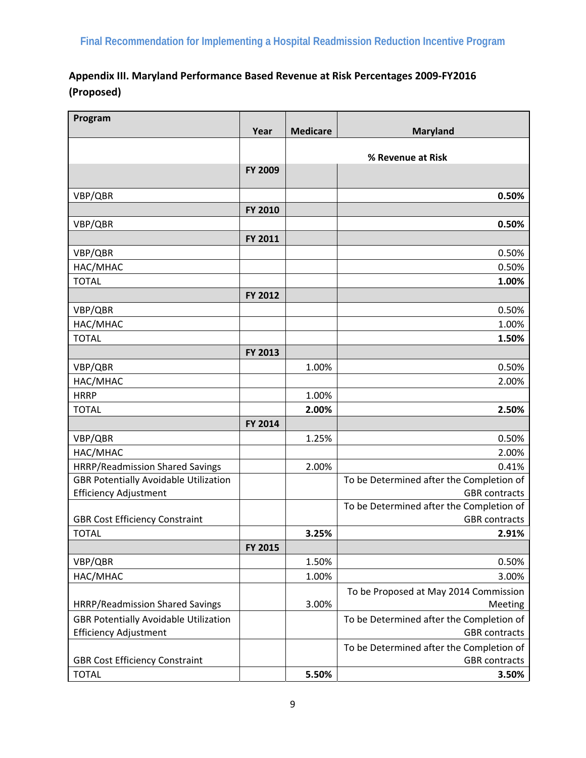<u> 1989 - Andrea State Barbara, amerikan personal di sebagai personal di sebagai personal di sebagai personal d</u>

| Appendix III. Maryland Performance Based Revenue at Risk Percentages 2009-FY2016 |
|----------------------------------------------------------------------------------|
| (Proposed)                                                                       |

| Program                                      | Year    | <b>Medicare</b>   | <b>Maryland</b>                                  |  |  |
|----------------------------------------------|---------|-------------------|--------------------------------------------------|--|--|
|                                              |         |                   |                                                  |  |  |
|                                              |         | % Revenue at Risk |                                                  |  |  |
|                                              | FY 2009 |                   |                                                  |  |  |
| VBP/QBR                                      |         |                   | 0.50%                                            |  |  |
|                                              | FY 2010 |                   |                                                  |  |  |
| VBP/QBR                                      |         |                   | 0.50%                                            |  |  |
|                                              | FY 2011 |                   |                                                  |  |  |
| VBP/QBR                                      |         |                   | 0.50%                                            |  |  |
| HAC/MHAC                                     |         |                   | 0.50%                                            |  |  |
| <b>TOTAL</b>                                 |         |                   | 1.00%                                            |  |  |
|                                              | FY 2012 |                   |                                                  |  |  |
| VBP/QBR                                      |         |                   | 0.50%                                            |  |  |
| HAC/MHAC                                     |         |                   | 1.00%                                            |  |  |
| <b>TOTAL</b>                                 |         |                   | 1.50%                                            |  |  |
|                                              | FY 2013 |                   |                                                  |  |  |
| VBP/QBR                                      |         | 1.00%             | 0.50%                                            |  |  |
| HAC/MHAC                                     |         |                   | 2.00%                                            |  |  |
| <b>HRRP</b>                                  |         | 1.00%             |                                                  |  |  |
| <b>TOTAL</b>                                 |         | 2.00%             | 2.50%                                            |  |  |
|                                              | FY 2014 |                   |                                                  |  |  |
| VBP/QBR                                      |         | 1.25%             | 0.50%                                            |  |  |
| HAC/MHAC                                     |         |                   | 2.00%                                            |  |  |
| HRRP/Readmission Shared Savings              |         | 2.00%             | 0.41%                                            |  |  |
| <b>GBR Potentially Avoidable Utilization</b> |         |                   | To be Determined after the Completion of         |  |  |
| <b>Efficiency Adjustment</b>                 |         |                   | <b>GBR</b> contracts                             |  |  |
|                                              |         |                   | To be Determined after the Completion of         |  |  |
| <b>GBR Cost Efficiency Constraint</b>        |         |                   | <b>GBR</b> contracts                             |  |  |
| <b>TOTAL</b>                                 |         | 3.25%             | 2.91%                                            |  |  |
| VBP/QBR                                      | FY 2015 | 1.50%             | 0.50%                                            |  |  |
| HAC/MHAC                                     |         | 1.00%             | 3.00%                                            |  |  |
|                                              |         |                   |                                                  |  |  |
| HRRP/Readmission Shared Savings              |         | 3.00%             | To be Proposed at May 2014 Commission<br>Meeting |  |  |
| <b>GBR Potentially Avoidable Utilization</b> |         |                   | To be Determined after the Completion of         |  |  |
| <b>Efficiency Adjustment</b>                 |         |                   | <b>GBR</b> contracts                             |  |  |
|                                              |         |                   | To be Determined after the Completion of         |  |  |
| <b>GBR Cost Efficiency Constraint</b>        |         |                   | <b>GBR</b> contracts                             |  |  |
| <b>TOTAL</b>                                 |         | 5.50%             | 3.50%                                            |  |  |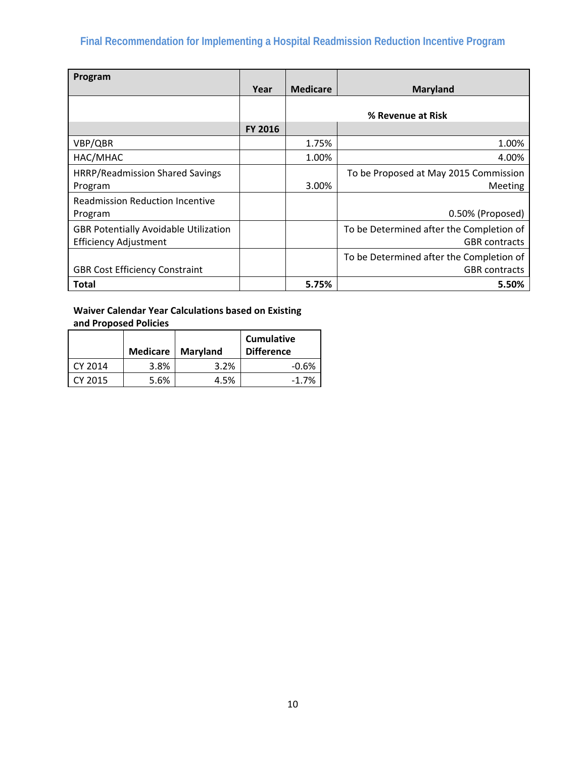# **Final Recommendation for Implementing a Hospital Readmission Reduction Incentive Program**

| Program                                      |                |                 |                                          |
|----------------------------------------------|----------------|-----------------|------------------------------------------|
|                                              | Year           | <b>Medicare</b> | <b>Maryland</b>                          |
|                                              |                |                 |                                          |
|                                              |                |                 | % Revenue at Risk                        |
|                                              | <b>FY 2016</b> |                 |                                          |
| VBP/QBR                                      |                | 1.75%           | 1.00%                                    |
| HAC/MHAC                                     |                | 1.00%           | 4.00%                                    |
| <b>HRRP/Readmission Shared Savings</b>       |                |                 | To be Proposed at May 2015 Commission    |
| Program                                      |                | 3.00%           | <b>Meeting</b>                           |
| <b>Readmission Reduction Incentive</b>       |                |                 |                                          |
| Program                                      |                |                 | 0.50% (Proposed)                         |
| <b>GBR Potentially Avoidable Utilization</b> |                |                 | To be Determined after the Completion of |
| <b>Efficiency Adjustment</b>                 |                |                 | <b>GBR</b> contracts                     |
|                                              |                |                 | To be Determined after the Completion of |
| <b>GBR Cost Efficiency Constraint</b>        |                |                 | <b>GBR</b> contracts                     |
| Total                                        |                | 5.75%           | 5.50%                                    |

### **Waiver Calendar Year Calculations based on Existing**

**and Proposed Policies**

|         | Medicare | Maryland | <b>Cumulative</b><br><b>Difference</b> |
|---------|----------|----------|----------------------------------------|
| CY 2014 | 3.8%     | 3.2%     | $-0.6%$                                |
| CY 2015 | 5.6%     | 4.5%     | $-1.7\%$                               |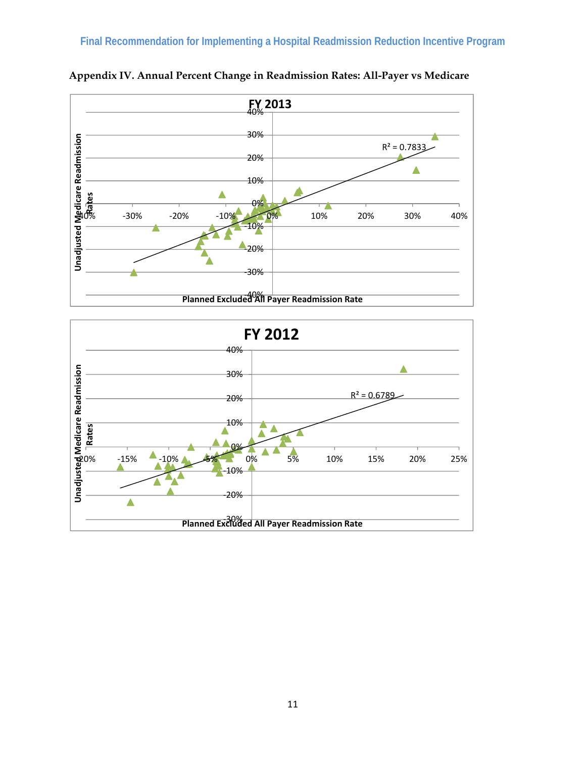

**Appendix IV. Annual Percent Change in Readmission Rates: All-Payer vs Medicare** 

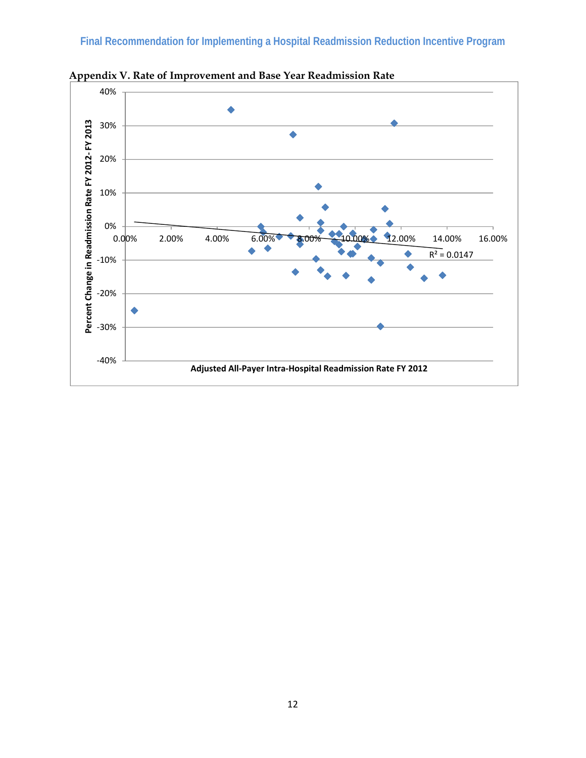

**Appendix V. Rate of Improvement and Base Year Readmission Rate**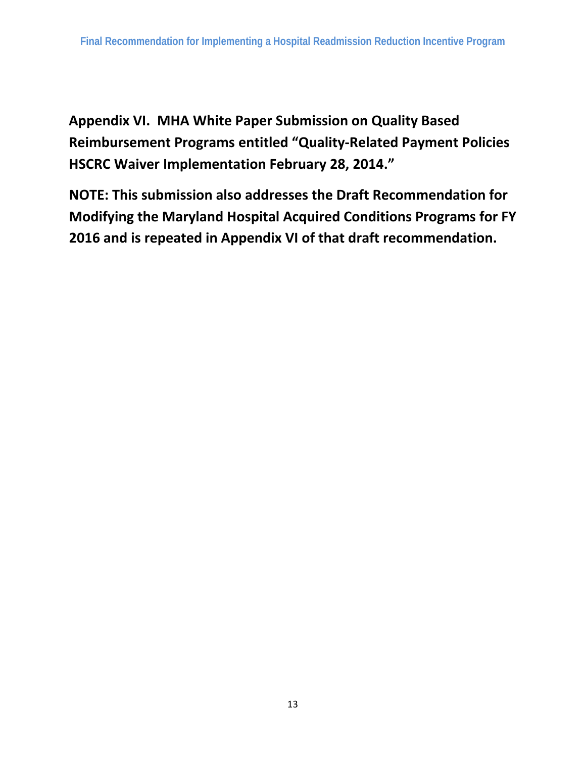**Appendix VI. MHA White Paper Submission on Quality Based Reimbursement Programs entitled "Quality‐Related Payment Policies HSCRC Waiver Implementation February 28, 2014."** 

**NOTE: This submission also addresses the Draft Recommendation for Modifying the Maryland Hospital Acquired Conditions Programs for FY 2016 and is repeated in Appendix VI of that draft recommendation.**